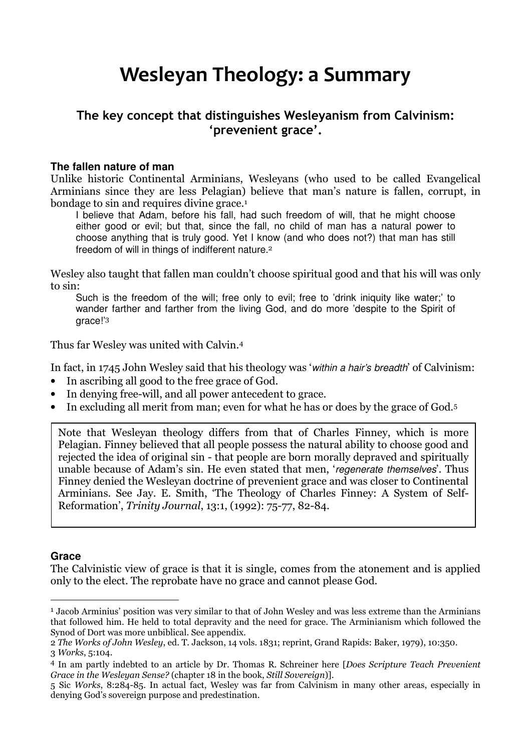## Wesleyan Theology: a Summary

### The key concept that distinguishes Wesleyanism from Calvinism: 'prevenient grace'.

#### **The fallen nature of man**

Unlike historic Continental Arminians, Wesleyans (who used to be called Evangelical Arminians since they are less Pelagian) believe that man's nature is fallen, corrupt, in bondage to sin and requires divine grace.<sup>1</sup>

I believe that Adam, before his fall, had such freedom of will, that he might choose either good or evil; but that, since the fall, no child of man has a natural power to choose anything that is truly good. Yet I know (and who does not?) that man has still freedom of will in things of indifferent nature.<sup>2</sup>

Wesley also taught that fallen man couldn't choose spiritual good and that his will was only to sin:

Such is the freedom of the will; free only to evil; free to 'drink iniquity like water;' to wander farther and farther from the living God, and do more 'despite to the Spirit of grace!'<sup>3</sup>

Thus far Wesley was united with Calvin.<sup>4</sup>

In fact, in 1745 John Wesley said that his theology was 'within a hair's breadth' of Calvinism:

- In ascribing all good to the free grace of God.
- In denying free-will, and all power antecedent to grace.
- In excluding all merit from man; even for what he has or does by the grace of God.<sup>5</sup>

Note that Wesleyan theology differs from that of Charles Finney, which is more Pelagian. Finney believed that all people possess the natural ability to choose good and rejected the idea of original sin - that people are born morally depraved and spiritually unable because of Adam's sin. He even stated that men, 'regenerate themselves'. Thus Finney denied the Wesleyan doctrine of prevenient grace and was closer to Continental Arminians. See Jay. E. Smith, 'The Theology of Charles Finney: A System of Self-Reformation', Trinity Journal, 13:1, (1992): 75-77, 82-84.

#### **Grace**

 $\overline{a}$ 

The Calvinistic view of grace is that it is single, comes from the atonement and is applied only to the elect. The reprobate have no grace and cannot please God.

<sup>&</sup>lt;sup>1</sup> Jacob Arminius' position was very similar to that of John Wesley and was less extreme than the Arminians that followed him. He held to total depravity and the need for grace. The Arminianism which followed the Synod of Dort was more unbiblical. See appendix.

<sup>2</sup> The Works of John Wesley, ed. T. Jackson, 14 vols. 1831; reprint, Grand Rapids: Baker, 1979), 10:350. 3 Works, 5:104.

<sup>4</sup> In am partly indebted to an article by Dr. Thomas R. Schreiner here [Does Scripture Teach Prevenient Grace in the Wesleyan Sense? (chapter 18 in the book, Still Sovereign)].

<sup>5</sup> Sic Works, 8:284-85. In actual fact, Wesley was far from Calvinism in many other areas, especially in denying God's sovereign purpose and predestination.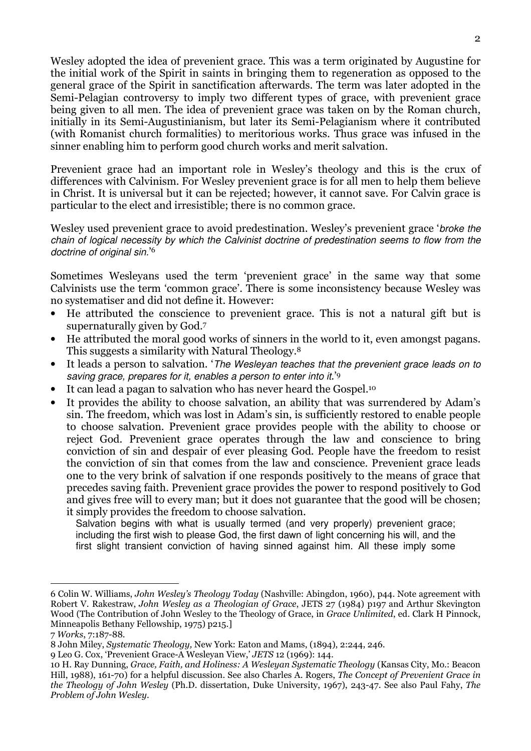Wesley adopted the idea of prevenient grace. This was a term originated by Augustine for the initial work of the Spirit in saints in bringing them to regeneration as opposed to the general grace of the Spirit in sanctification afterwards. The term was later adopted in the Semi-Pelagian controversy to imply two different types of grace, with prevenient grace being given to all men. The idea of prevenient grace was taken on by the Roman church, initially in its Semi-Augustinianism, but later its Semi-Pelagianism where it contributed (with Romanist church formalities) to meritorious works. Thus grace was infused in the sinner enabling him to perform good church works and merit salvation.

Prevenient grace had an important role in Wesley's theology and this is the crux of differences with Calvinism. For Wesley prevenient grace is for all men to help them believe in Christ. It is universal but it can be rejected; however, it cannot save. For Calvin grace is particular to the elect and irresistible; there is no common grace.

Wesley used prevenient grace to avoid predestination. Wesley's prevenient grace 'broke the chain of logical necessity by which the Calvinist doctrine of predestination seems to flow from the doctrine of original sin.'<sup>6</sup>

Sometimes Wesleyans used the term 'prevenient grace' in the same way that some Calvinists use the term 'common grace'. There is some inconsistency because Wesley was no systematiser and did not define it. However:

- He attributed the conscience to prevenient grace. This is not a natural gift but is supernaturally given by God.<sup>7</sup>
- He attributed the moral good works of sinners in the world to it, even amongst pagans. This suggests a similarity with Natural Theology.<sup>8</sup>
- It leads a person to salvation. 'The Wesleyan teaches that the prevenient grace leads on to saving grace, prepares for it, enables a person to enter into it.<sup>'9</sup>
- It can lead a pagan to salvation who has never heard the Gospel.<sup>10</sup>
- It provides the ability to choose salvation, an ability that was surrendered by Adam's sin. The freedom, which was lost in Adam's sin, is sufficiently restored to enable people to choose salvation. Prevenient grace provides people with the ability to choose or reject God. Prevenient grace operates through the law and conscience to bring conviction of sin and despair of ever pleasing God. People have the freedom to resist the conviction of sin that comes from the law and conscience. Prevenient grace leads one to the very brink of salvation if one responds positively to the means of grace that precedes saving faith. Prevenient grace provides the power to respond positively to God and gives free will to every man; but it does not guarantee that the good will be chosen; it simply provides the freedom to choose salvation.

Salvation begins with what is usually termed (and very properly) prevenient grace; including the first wish to please God, the first dawn of light concerning his will, and the first slight transient conviction of having sinned against him. All these imply some

 $\overline{a}$ 

<sup>6</sup> Colin W. Williams, John Wesley's Theology Today (Nashville: Abingdon, 1960), p44. Note agreement with Robert V. Rakestraw, John Wesley as a Theologian of Grace, JETS 27 (1984) p197 and Arthur Skevington Wood (The Contribution of John Wesley to the Theology of Grace, in Grace Unlimited, ed. Clark H Pinnock, Minneapolis Bethany Fellowship, 1975) p215.]

<sup>7</sup> Works, 7:187-88.

<sup>8</sup> John Miley, Systematic Theology, New York: Eaton and Mams, (1894), 2:244, 246.

<sup>9</sup> Leo G. Cox, 'Prevenient Grace-A Wesleyan View,' JETS 12 (1969): 144.

<sup>10</sup> H. Ray Dunning, Grace, Faith, and Holiness: A Wesleyan Systematic Theology (Kansas City, Mo.: Beacon Hill, 1988), 161-70) for a helpful discussion. See also Charles A. Rogers, The Concept of Prevenient Grace in the Theology of John Wesley (Ph.D. dissertation, Duke University, 1967), 243-47. See also Paul Fahy, The Problem of John Wesley.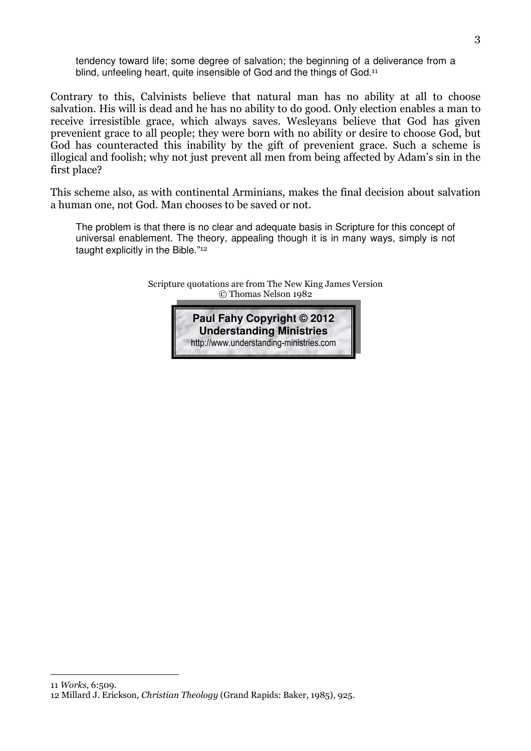tendency toward life; some degree of salvation; the beginning of a deliverance from a blind, unfeeling heart, quite insensible of God and the things of God.<sup>11</sup>

Contrary to this, Calvinists believe that natural man has no ability at all to choose salvation. His will is dead and he has no ability to do good. Only election enables a man to receive irresistible grace, which always saves. Wesleyans believe that God has given prevenient grace to all people; they were born with no ability or desire to choose God, but God has counteracted this inability by the gift of prevenient grace. Such a scheme is illogical and foolish; why not just prevent all men from being affected by Adam's sin in the first place?

This scheme also, as with continental Arminians, makes the final decision about salvation a human one, not God. Man chooses to be saved or not.

The problem is that there is no clear and adequate basis in Scripture for this concept of universal enablement. The theory, appealing though it is in many ways, simply is not taught explicitly in the Bible."<sup>12</sup>

> Scripture quotations are from The New King James Version © Thomas Nelson 1982



 $\overline{a}$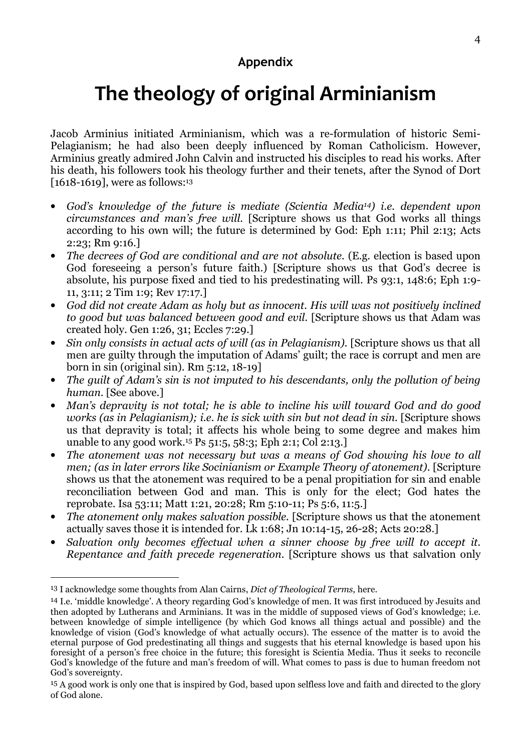### Appendix

# The theology of original Arminianism

Jacob Arminius initiated Arminianism, which was a re-formulation of historic Semi-Pelagianism; he had also been deeply influenced by Roman Catholicism. However, Arminius greatly admired John Calvin and instructed his disciples to read his works. After his death, his followers took his theology further and their tenets, after the Synod of Dort [1618-1619], were as follows:<sup>13</sup>

- God's knowledge of the future is mediate (Scientia Media14) i.e. dependent upon circumstances and man's free will. [Scripture shows us that God works all things according to his own will; the future is determined by God: Eph 1:11; Phil 2:13; Acts 2:23; Rm 9:16.]
- The decrees of God are conditional and are not absolute. (E.g. election is based upon God foreseeing a person's future faith.) [Scripture shows us that God's decree is absolute, his purpose fixed and tied to his predestinating will. Ps 93:1, 148:6; Eph 1:9- 11, 3:11; 2 Tim 1:9; Rev 17:17.]
- God did not create Adam as holy but as innocent. His will was not positively inclined to good but was balanced between good and evil. [Scripture shows us that Adam was created holy. Gen 1:26, 31; Eccles 7:29.]
- Sin only consists in actual acts of will (as in Pelagianism). [Scripture shows us that all men are guilty through the imputation of Adams' guilt; the race is corrupt and men are born in sin (original sin). Rm 5:12, 18-19]
- The quilt of Adam's sin is not imputed to his descendants, only the pollution of being human. [See above.]
- Man's depravity is not total; he is able to incline his will toward God and do good works (as in Pelagianism); i.e. he is sick with sin but not dead in sin. [Scripture shows us that depravity is total; it affects his whole being to some degree and makes him unable to any good work.15 Ps 51:5, 58:3; Eph 2:1; Col 2:13.]
- The atonement was not necessary but was a means of God showing his love to all men; (as in later errors like Socinianism or Example Theory of atonement). [Scripture shows us that the atonement was required to be a penal propitiation for sin and enable reconciliation between God and man. This is only for the elect; God hates the reprobate. Isa 53:11; Matt 1:21, 20:28; Rm 5:10-11; Ps 5:6, 11:5.]
- The atonement only makes salvation possible. [Scripture shows us that the atonement actually saves those it is intended for. Lk 1:68; Jn 10:14-15, 26-28; Acts 20:28.]
- Salvation only becomes effectual when a sinner choose by free will to accept it. Repentance and faith precede regeneration. [Scripture shows us that salvation only

 $\overline{a}$ 

<sup>&</sup>lt;sup>13</sup> I acknowledge some thoughts from Alan Cairns, *Dict of Theological Terms*, here.

<sup>14</sup> I.e. 'middle knowledge'. A theory regarding God's knowledge of men. It was first introduced by Jesuits and then adopted by Lutherans and Arminians. It was in the middle of supposed views of God's knowledge; i.e. between knowledge of simple intelligence (by which God knows all things actual and possible) and the knowledge of vision (God's knowledge of what actually occurs). The essence of the matter is to avoid the eternal purpose of God predestinating all things and suggests that his eternal knowledge is based upon his foresight of a person's free choice in the future; this foresight is Scientia Media. Thus it seeks to reconcile God's knowledge of the future and man's freedom of will. What comes to pass is due to human freedom not God's sovereignty.

<sup>&</sup>lt;sup>15</sup> A good work is only one that is inspired by God, based upon selfless love and faith and directed to the glory of God alone.